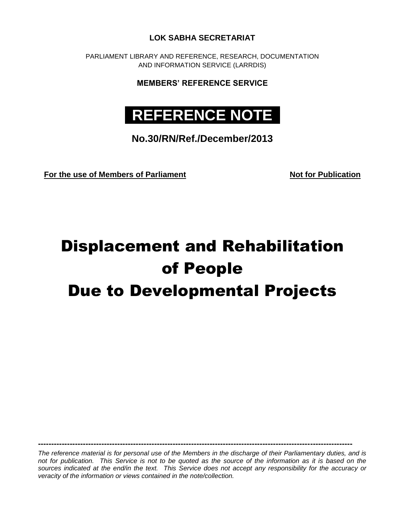**LOK SABHA SECRETARIAT**

PARLIAMENT LIBRARY AND REFERENCE, RESEARCH, DOCUMENTATION AND INFORMATION SERVICE (LARRDIS)

**MEMBERS' REFERENCE SERVICE**

## **REFERENCE NOTE .**

**No.30/RN/Ref./December/2013**

For the use of Members of Parliament Not for Publication

# Displacement and Rehabilitation of People Due to Developmental Projects

*The reference material is for personal use of the Members in the discharge of their Parliamentary duties, and is not for publication. This Service is not to be quoted as the source of the information as it is based on the*  sources indicated at the end/in the text. This Service does not accept any responsibility for the accuracy or *veracity of the information or views contained in the note/collection.*

**-----------------------------------------------------------------------------------------------------------------------**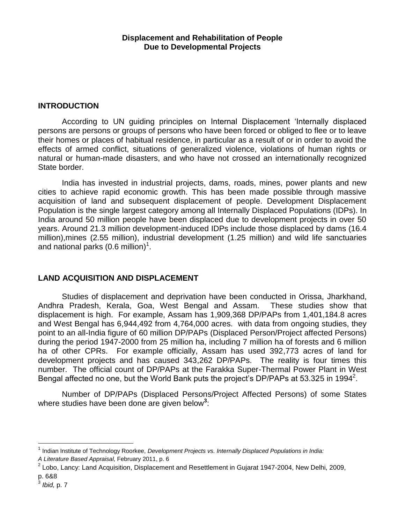### **INTRODUCTION**

According to UN guiding principles on Internal Displacement "Internally displaced persons are persons or groups of persons who have been forced or obliged to flee or to leave their homes or places of habitual residence, in particular as a result of or in order to avoid the effects of armed conflict, situations of generalized violence, violations of human rights or natural or human-made disasters, and who have not crossed an internationally recognized State border.

India has invested in industrial projects, dams, roads, mines, power plants and new cities to achieve rapid economic growth. This has been made possible through massive acquisition of land and subsequent displacement of people. Development Displacement Population is the single largest category among all Internally Displaced Populations (IDPs). In India around 50 million people have been displaced due to development projects in over 50 years. Around 21.3 million development-induced IDPs include those displaced by dams (16.4 million),mines (2.55 million), industrial development (1.25 million) and wild life sanctuaries and national parks (0.6 million) $1$ .

## **LAND ACQUISITION AND DISPLACEMENT**

Studies of displacement and deprivation have been conducted in Orissa, Jharkhand, Andhra Pradesh, Kerala, Goa, West Bengal and Assam. These studies show that displacement is high. For example, Assam has 1,909,368 DP/PAPs from 1,401,184.8 acres and West Bengal has 6,944,492 from 4,764,000 acres. with data from ongoing studies, they point to an all-India figure of 60 million DP/PAPs (Displaced Person/Project affected Persons) during the period 1947-2000 from 25 million ha, including 7 million ha of forests and 6 million ha of other CPRs. For example officially, Assam has used 392,773 acres of land for development projects and has caused 343,262 DP/PAPs. The reality is four times this number. The official count of DP/PAPs at the Farakka Super-Thermal Power Plant in West Bengal affected no one, but the World Bank puts the project's DP/PAPs at 53.325 in 1994<sup>2</sup>.

Number of DP/PAPs (Displaced Persons/Project Affected Persons) of some States where studies have been done are given below**<sup>3</sup>** :

<sup>1</sup> Indian Institute of Technology Roorkee, *Development Projects vs. Internally Displaced Populations in India: A Literature Based Appraisal,* February 2011, p. 6

 $^2$  Lobo, Lancy: Land Acquisition, Displacement and Resettlement in Gujarat 1947-2004, New Delhi, 2009, p. 6&8

<sup>3</sup> *Ibid,* p. 7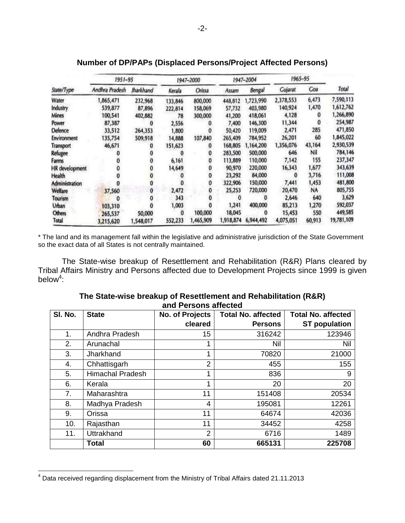|                       | 1951-95        |                  |          | 1947-2000 |           | 1947-2004     |                | 1965-95 |            |
|-----------------------|----------------|------------------|----------|-----------|-----------|---------------|----------------|---------|------------|
| State/Type            | Andhra Pradesh | <b>Iharkhand</b> | Kerala   | Orissa    | Assam     | <b>Bengal</b> | <b>Gujarat</b> | Coa     | Total      |
| Water                 | 1,865,471      | 232,968          | 133,846  | 800,000   | 448,812   | 1,723,990     | 2,378,553      | 6,473   | 7,590,113  |
| Industry              | 539,877        | 87,896           | 222,814  | 158,069   | 57,732    | 403,980       | 140,924        | 1,470   | 1,612,762  |
| <b>Mines</b>          | 100,541        | 402,882          | 78       | 300,000   | 41,200    | 418,061       | 4,128          |         | 1,266,890  |
| Power                 | 87,387         |                  | 2,556    |           | 7,400     | 146,300       | 11,344         |         | 254,987    |
| Defence               | 33,512         | 264,353          | 1,800    |           | 50,420    | 119,009       | 2,471          | 285     | 471,850    |
| Environment           | 135,754        | 509,918          | 14,888   | 107,840   | 265,409   | 784,952       | 26,201         | 60      | 1,845,022  |
| <b>Transport</b>      | 46,671         |                  | 151,623  |           | 168,805   | 1,164,200     | 1,356,076      | 43,164  | 2,930,539  |
| <b>Refugee</b>        |                |                  |          |           | 283,500   | 500,000       | 646            | Nil     | 784,146    |
| Farms                 |                |                  | 6,161    |           | 113,889   | 110,000       | 7,142          | 155     | 237,347    |
| <b>HR</b> development |                |                  | 14,649   |           | 90,970    | 220,000       | 16,343         | 1,677   | 343,639    |
| <b>Health</b>         |                |                  |          |           | 23,292    | 84,000        | 0              | 3,716   | 111,008    |
| Administration        |                |                  |          |           | 322,906   | 150,000       | 7,441          | 1,453   | 481,800    |
| <b>Welfare</b>        | 37,560         | $\bf{0}$         | 2,472    |           | 25,253    | 720,000       | 20,470         | NA      | 805,755    |
| Tourism               | 0              |                  | 343      |           | 0         |               | 2,646          | 640     | 3,629      |
| Urban                 | 103,310        |                  | 1,003    |           | 1,241     | 400,000       | 85,213         | 1,270   | 592,037    |
| <b>Others</b>         | 265,537        | 50,000           | $\Omega$ | 100,000   | 18,045    |               | 15,453         | 550     | 449,585    |
| Total                 | 3,215,620      | 1,548,017        | 552,233  | 1,465,909 | 1,918,874 | 6,944,492     | 4,075,051      | 60,913  | 19,781,109 |

## **Number of DP/PAPs (Displaced Persons/Project Affected Persons)**

\* The land and its management fall within the legislative and administrative jurisdiction of the State Government so the exact data of all States is not centrally maintained.

The State-wise breakup of Resettlement and Rehabilitation (R&R) Plans cleared by Tribal Affairs Ministry and Persons affected due to Development Projects since 1999 is given below<sup>4</sup>:

| SI. No. | <b>State</b>            | No. of Projects | <b>Total No. affected</b> | <b>Total No. affected</b> |
|---------|-------------------------|-----------------|---------------------------|---------------------------|
|         |                         | cleared         | <b>Persons</b>            | <b>ST population</b>      |
| 1.      | Andhra Pradesh          | 15              | 316242                    | 123946                    |
| 2.      | Arunachal               |                 | Nil                       | <b>Nil</b>                |
| 3.      | Jharkhand               | 4               | 70820                     | 21000                     |
| 4.      | Chhattisgarh            | $\overline{2}$  | 455                       | 155                       |
| 5.      | <b>Himachal Pradesh</b> | ◢               | 836                       | 9                         |
| 6.      | Kerala                  | 4               | 20                        | 20                        |
| 7.      | Maharashtra             | 11              | 151408                    | 20534                     |
| 8.      | Madhya Pradesh          | 4               | 195081                    | 12261                     |
| 9.      | Orissa                  | 11              | 64674                     | 42036                     |
| 10.     | Rajasthan               | 11              | 34452                     | 4258                      |
| 11.     | Uttrakhand              | $\overline{2}$  | 6716                      | 1489                      |
|         | <b>Total</b>            | 60              | 665131                    | 225708                    |

#### **The State-wise breakup of Resettlement and Rehabilitation (R&R) and Persons affected**

 $^4$  Data received regarding displacement from the Ministry of Tribal Affairs dated 21.11.2013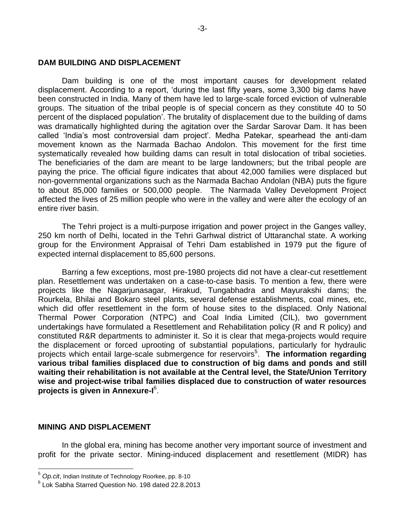#### **DAM BUILDING AND DISPLACEMENT**

Dam building is one of the most important causes for development related displacement. According to a report, "during the last fifty years, some 3,300 big dams have been constructed in India. Many of them have led to large-scale forced eviction of vulnerable groups. The situation of the tribal people is of special concern as they constitute 40 to 50 percent of the displaced population". The brutality of displacement due to the building of dams was dramatically highlighted during the agitation over the Sardar Sarovar Dam. It has been called "India"s most controversial dam project". Medha Patekar, spearhead the anti-dam movement known as the Narmada Bachao Andolon. This movement for the first time systematically revealed how building dams can result in total dislocation of tribal societies. The beneficiaries of the dam are meant to be large landowners; but the tribal people are paying the price. The official figure indicates that about 42,000 families were displaced but non-governmental organizations such as the Narmada Bachao Andolan (NBA) puts the figure to about 85,000 families or 500,000 people. The Narmada Valley Development Project affected the lives of 25 million people who were in the valley and were alter the ecology of an entire river basin.

The Tehri project is a multi-purpose irrigation and power project in the Ganges valley, 250 km north of Delhi, located in the Tehri Garhwal district of Uttaranchal state. A working group for the Environment Appraisal of Tehri Dam established in 1979 put the figure of expected internal displacement to 85,600 persons.

Barring a few exceptions, most pre-1980 projects did not have a clear-cut resettlement plan. Resettlement was undertaken on a case-to-case basis. To mention a few, there were projects like the Nagarjunasagar, Hirakud, Tungabhadra and Mayurakshi dams; the Rourkela, Bhilai and Bokaro steel plants, several defense establishments, coal mines, etc, which did offer resettlement in the form of house sites to the displaced. Only National Thermal Power Corporation (NTPC) and Coal India Limited (CIL), two government undertakings have formulated a Resettlement and Rehabilitation policy (R and R policy) and constituted R&R departments to administer it. So it is clear that mega-projects would require the displacement or forced uprooting of substantial populations, particularly for hydraulic projects which entail large-scale submergence for reservoirs<sup>5</sup>. The information regarding **various tribal families displaced due to construction of big dams and ponds and still waiting their rehabilitation is not available at the Central level, the State/Union Territory wise and project-wise tribal families displaced due to construction of water resources projects is given in Annexure-I** 6 .

#### **MINING AND DISPLACEMENT**

l

In the global era, mining has become another very important source of investment and profit for the private sector. Mining-induced displacement and resettlement (MIDR) has

<sup>5</sup> *Op.cit*, Indian Institute of Technology Roorkee, pp. 8-10

<sup>6</sup> Lok Sabha Starred Question No. 198 dated 22.8.2013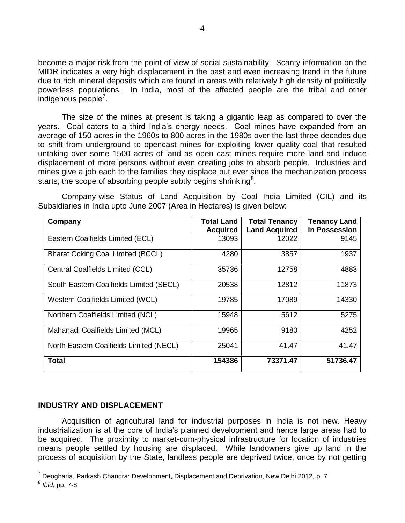become a major risk from the point of view of social sustainability. Scanty information on the MIDR indicates a very high displacement in the past and even increasing trend in the future due to rich mineral deposits which are found in areas with relatively high density of politically powerless populations. In India, most of the affected people are the tribal and other .<br>indigenous people<sup>7</sup>.

The size of the mines at present is taking a gigantic leap as compared to over the years. Coal caters to a third India"s energy needs. Coal mines have expanded from an average of 150 acres in the 1960s to 800 acres in the 1980s over the last three decades due to shift from underground to opencast mines for exploiting lower quality coal that resulted untaking over some 1500 acres of land as open cast mines require more land and induce displacement of more persons without even creating jobs to absorb people. Industries and mines give a job each to the families they displace but ever since the mechanization process starts, the scope of absorbing people subtly begins shrinking<sup>8</sup>.

Company-wise Status of Land Acquisition by Coal India Limited (CIL) and its Subsidiaries in India upto June 2007 (Area in Hectares) is given below:

| Company                                  | <b>Total Land</b> | <b>Total Tenancy</b> | <b>Tenancy Land</b> |
|------------------------------------------|-------------------|----------------------|---------------------|
|                                          | <b>Acquired</b>   | <b>Land Acquired</b> | in Possession       |
| Eastern Coalfields Limited (ECL)         | 13093             | 12022                | 9145                |
| <b>Bharat Coking Coal Limited (BCCL)</b> | 4280              | 3857                 | 1937                |
| Central Coalfields Limited (CCL)         | 35736             | 12758                | 4883                |
| South Eastern Coalfields Limited (SECL)  | 20538             | 12812                | 11873               |
| Western Coalfields Limited (WCL)         | 19785             | 17089                | 14330               |
| Northern Coalfields Limited (NCL)        | 15948             | 5612                 | 5275                |
| Mahanadi Coalfields Limited (MCL)        | 19965             | 9180                 | 4252                |
| North Eastern Coalfields Limited (NECL)  | 25041             | 41.47                | 41.47               |
| <b>Total</b>                             | 154386            | 73371.47             | 51736.47            |

#### **INDUSTRY AND DISPLACEMENT**

Acquisition of agricultural land for industrial purposes in India is not new. Heavy industrialization is at the core of India"s planned development and hence large areas had to be acquired. The proximity to market-cum-physical infrastructure for location of industries means people settled by housing are displaced. While landowners give up land in the process of acquisition by the State, landless people are deprived twice, once by not getting

 $^7$  Deogharia, Parkash Chandra: Development, Displacement and Deprivation, New Delhi 2012, p. 7

<sup>8</sup> *Ibid*, pp. 7-8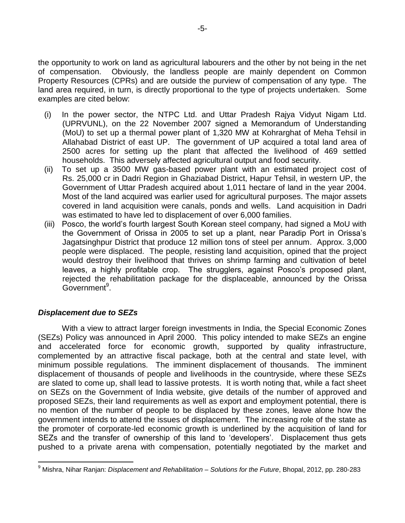the opportunity to work on land as agricultural labourers and the other by not being in the net of compensation. Obviously, the landless people are mainly dependent on Common Property Resources (CPRs) and are outside the purview of compensation of any type. The land area required, in turn, is directly proportional to the type of projects undertaken. Some examples are cited below:

- (i) In the power sector, the NTPC Ltd. and Uttar Pradesh Rajya Vidyut Nigam Ltd. (UPRVUNL), on the 22 November 2007 signed a Memorandum of Understanding (MoU) to set up a thermal power plant of 1,320 MW at Kohrarghat of Meha Tehsil in Allahabad District of east UP. The government of UP acquired a total land area of 2500 acres for setting up the plant that affected the livelihood of 469 settled households. This adversely affected agricultural output and food security.
- (ii) To set up a 3500 MW gas-based power plant with an estimated project cost of Rs. 25,000 cr in Dadri Region in Ghaziabad District, Hapur Tehsil, in western UP, the Government of Uttar Pradesh acquired about 1,011 hectare of land in the year 2004. Most of the land acquired was earlier used for agricultural purposes. The major assets covered in land acquisition were canals, ponds and wells. Land acquisition in Dadri was estimated to have led to displacement of over 6,000 families.
- (iii) Posco, the world"s fourth largest South Korean steel company, had signed a MoU with the Government of Orissa in 2005 to set up a plant, near Paradip Port in Orissa"s Jagatsinghpur District that produce 12 million tons of steel per annum. Approx. 3,000 people were displaced. The people, resisting land acquisition, opined that the project would destroy their livelihood that thrives on shrimp farming and cultivation of betel leaves, a highly profitable crop. The strugglers, against Posco's proposed plant, rejected the rehabilitation package for the displaceable, announced by the Orissa Government<sup>9</sup>.

#### *Displacement due to SEZs*

l

With a view to attract larger foreign investments in India, the Special Economic Zones (SEZs) Policy was announced in April 2000. This policy intended to make SEZs an engine and accelerated force for economic growth, supported by quality infrastructure, complemented by an attractive fiscal package, both at the central and state level, with minimum possible regulations. The imminent displacement of thousands. The imminent displacement of thousands of people and livelihoods in the countryside, where these SEZs are slated to come up, shall lead to lassive protests. It is worth noting that, while a fact sheet on SEZs on the Government of India website, give details of the number of approved and proposed SEZs, their land requirements as well as export and employment potential, there is no mention of the number of people to be displaced by these zones, leave alone how the government intends to attend the issues of displacement. The increasing role of the state as the promoter of corporate-led economic growth is underlined by the acquisition of land for SEZs and the transfer of ownership of this land to 'developers'. Displacement thus gets pushed to a private arena with compensation, potentially negotiated by the market and

<sup>9</sup> Mishra, Nihar Ranjan: *Displacement and Rehabilitation – Solutions for the Future*, Bhopal, 2012, pp. 280-283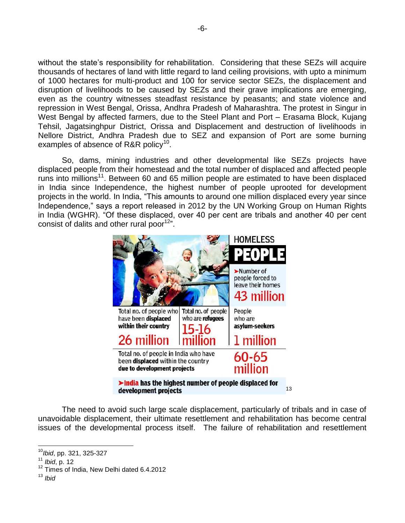without the state's responsibility for rehabilitation. Considering that these SEZs will acquire thousands of hectares of land with little regard to land ceiling provisions, with upto a minimum of 1000 hectares for multi-product and 100 for service sector SEZs, the displacement and disruption of livelihoods to be caused by SEZs and their grave implications are emerging, even as the country witnesses steadfast resistance by peasants; and state violence and repression in West Bengal, Orissa, Andhra Pradesh of Maharashtra. The protest in Singur in West Bengal by affected farmers, due to the Steel Plant and Port – Erasama Block, Kujang Tehsil, Jagatsinghpur District, Orissa and Displacement and destruction of livelihoods in Nellore District, Andhra Pradesh due to SEZ and expansion of Port are some burning examples of absence of R&R policy<sup>10</sup>.

So, dams, mining industries and other developmental like SEZs projects have displaced people from their homestead and the total number of displaced and affected people runs into millions<sup>11</sup>. Between 60 and 65 million people are estimated to have been displaced in India since Independence, the highest number of people uprooted for development projects in the world. In India, "This amounts to around one million displaced every year since Independence," says a report released in 2012 by the UN Working Group on Human Rights in India (WGHR). "Of these displaced, over 40 per cent are tribals and another 40 per cent consist of dalits and other rural poor $12$ ".



The need to avoid such large scale displacement, particularly of tribals and in case of unavoidable displacement, their ultimate resettlement and rehabilitation has become central issues of the developmental process itself. The failure of rehabilitation and resettlement

<sup>10</sup>*Ibid*, pp. 321, 325-327

<sup>11</sup> *Ibid*, p. 12

<sup>&</sup>lt;sup>12</sup> Times of India, New Delhi dated 6.4.2012

<sup>13</sup> *Ibid*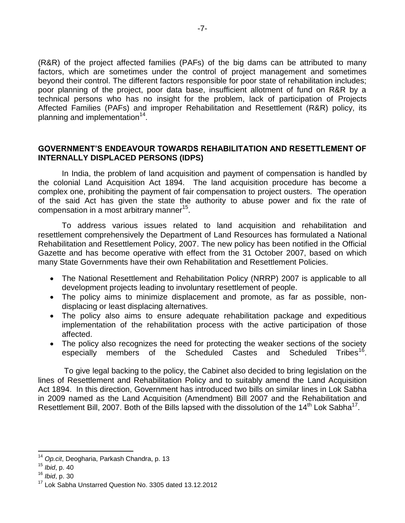(R&R) of the project affected families (PAFs) of the big dams can be attributed to many factors, which are sometimes under the control of project management and sometimes beyond their control. The different factors responsible for poor state of rehabilitation includes; poor planning of the project, poor data base, insufficient allotment of fund on R&R by a technical persons who has no insight for the problem, lack of participation of Projects Affected Families (PAFs) and improper Rehabilitation and Resettlement (R&R) policy, its planning and implementation<sup>14</sup>.

#### **GOVERNMENT'S ENDEAVOUR TOWARDS REHABILITATION AND RESETTLEMENT OF INTERNALLY DISPLACED PERSONS (IDPS)**

In India, the problem of land acquisition and payment of compensation is handled by the colonial Land Acquisition Act 1894. The land acquisition procedure has become a complex one, prohibiting the payment of fair compensation to project ousters. The operation of the said Act has given the state the authority to abuse power and fix the rate of compensation in a most arbitrary manner<sup>15</sup>.

To address various issues related to land acquisition and rehabilitation and resettlement comprehensively the Department of Land Resources has formulated a National Rehabilitation and Resettlement Policy, 2007. The new policy has been notified in the Official Gazette and has become operative with effect from the 31 October 2007, based on which many State Governments have their own Rehabilitation and Resettlement Policies.

- The National Resettlement and Rehabilitation Policy (NRRP) 2007 is applicable to all development projects leading to involuntary resettlement of people.
- The policy aims to minimize displacement and promote, as far as possible, nondisplacing or least displacing alternatives.
- The policy also aims to ensure adequate rehabilitation package and expeditious implementation of the rehabilitation process with the active participation of those affected.
- The policy also recognizes the need for protecting the weaker sections of the society especially members of the Scheduled Castes and Scheduled Tribes<sup>16</sup>.

To give legal backing to the policy, the Cabinet also decided to bring legislation on the lines of Resettlement and Rehabilitation Policy and to suitably amend the Land Acquisition Act 1894. In this direction, Government has introduced two bills on similar lines in Lok Sabha in 2009 named as the Land Acquisition (Amendment) Bill 2007 and the Rehabilitation and Resettlement Bill, 2007. Both of the Bills lapsed with the dissolution of the 14<sup>th</sup> Lok Sabha<sup>17</sup>.

<sup>14</sup> *Op.cit*, Deogharia, Parkash Chandra, p. 13

<sup>15</sup> *Ibid*, p. 40

<sup>16</sup> *Ibid*, p. 30

<sup>&</sup>lt;sup>17</sup> Lok Sabha Unstarred Question No. 3305 dated 13.12.2012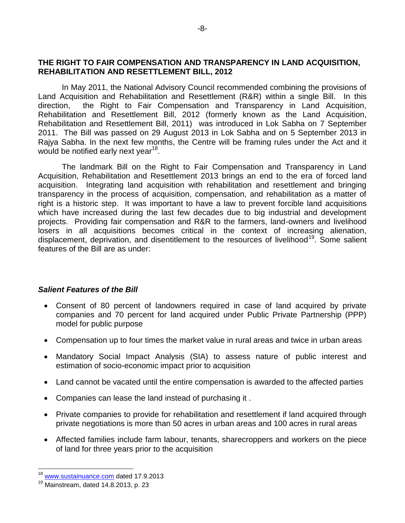#### **THE RIGHT TO FAIR COMPENSATION AND TRANSPARENCY IN LAND ACQUISITION, REHABILITATION AND RESETTLEMENT BILL, 2012**

In May 2011, the National Advisory Council recommended combining the provisions of Land Acquisition and Rehabilitation and Resettlement (R&R) within a single Bill. In this direction, the Right to Fair Compensation and Transparency in Land Acquisition, Rehabilitation and Resettlement Bill, 2012 (formerly known as the Land Acquisition, Rehabilitation and Resettlement Bill, 2011) was introduced in Lok Sabha on 7 September 2011. The Bill was passed on 29 August 2013 in Lok Sabha and on 5 September 2013 in Rajya Sabha. In the next few months, the Centre will be framing rules under the Act and it would be notified early next year<sup>18</sup>.

The landmark Bill on the Right to Fair Compensation and Transparency in Land Acquisition, Rehabilitation and Resettlement 2013 brings an end to the era of forced land acquisition. Integrating land acquisition with rehabilitation and resettlement and bringing transparency in the process of acquisition, compensation, and rehabilitation as a matter of right is a historic step. It was important to have a law to prevent forcible land acquisitions which have increased during the last few decades due to big industrial and development projects. Providing fair compensation and R&R to the farmers, land-owners and livelihood losers in all acquisitions becomes critical in the context of increasing alienation, displacement, deprivation, and disentitlement to the resources of livelihood<sup>19</sup>. Some salient features of the Bill are as under:

#### *Salient Features of the Bill*

- Consent of 80 percent of landowners required in case of land acquired by private companies and 70 percent for land acquired under Public Private Partnership (PPP) model for public purpose
- Compensation up to four times the market value in rural areas and twice in urban areas
- Mandatory Social Impact Analysis (SIA) to assess nature of public interest and estimation of socio-economic impact prior to acquisition
- Land cannot be vacated until the entire compensation is awarded to the affected parties
- Companies can lease the land instead of purchasing it .
- Private companies to provide for rehabilitation and resettlement if land acquired through private negotiations is more than 50 acres in urban areas and 100 acres in rural areas
- Affected families include farm labour, tenants, sharecroppers and workers on the piece of land for three years prior to the acquisition

<sup>&</sup>lt;sup>18</sup> [www.sustainuance.com](http://www.sustainuance.com/) dated 17.9.2013

 $19$  Mainstream, dated 14.8.2013, p. 23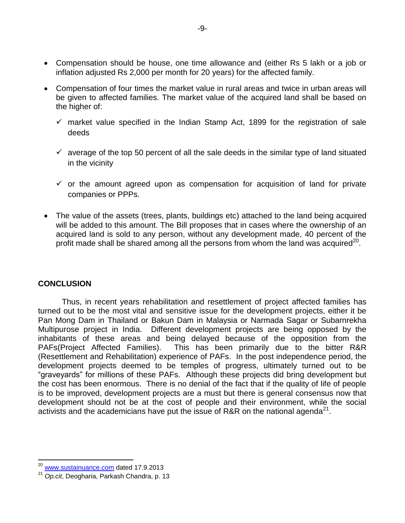- Compensation should be house, one time allowance and (either Rs 5 lakh or a job or inflation adjusted Rs 2,000 per month for 20 years) for the affected family.
- Compensation of four times the market value in rural areas and twice in urban areas will be given to affected families. The market value of the acquired land shall be based on the higher of:
	- $\checkmark$  market value specified in the Indian Stamp Act, 1899 for the registration of sale deeds
	- $\checkmark$  average of the top 50 percent of all the sale deeds in the similar type of land situated in the vicinity
	- $\checkmark$  or the amount agreed upon as compensation for acquisition of land for private companies or PPPs.
- The value of the assets (trees, plants, buildings etc) attached to the land being acquired will be added to this amount. The Bill proposes that in cases where the ownership of an acquired land is sold to any person, without any development made, 40 percent of the profit made shall be shared among all the persons from whom the land was acquired<sup>20</sup>.

#### **CONCLUSION**

l

Thus, in recent years rehabilitation and resettlement of project affected families has turned out to be the most vital and sensitive issue for the development projects, either it be Pan Mong Dam in Thailand or Bakun Dam in Malaysia or Narmada Sagar or Subarnrekha Multipurose project in India. Different development projects are being opposed by the inhabitants of these areas and being delayed because of the opposition from the PAFs(Project Affected Families). This has been primarily due to the bitter R&R (Resettlement and Rehabilitation) experience of PAFs. In the post independence period, the development projects deemed to be temples of progress, ultimately turned out to be "graveyards" for millions of these PAFs. Although these projects did bring development but the cost has been enormous. There is no denial of the fact that if the quality of life of people is to be improved, development projects are a must but there is general consensus now that development should not be at the cost of people and their environment, while the social activists and the academicians have put the issue of R&R on the national agenda<sup>21</sup>.

<sup>&</sup>lt;sup>20</sup> [www.sustainuance.com](http://www.sustainuance.com/) dated 17.9.2013

<sup>21</sup> *Op.cit*, Deogharia, Parkash Chandra, p. 13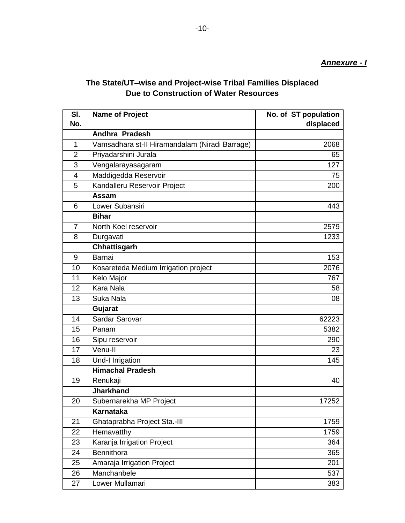## **The State/UT–wise and Project-wise Tribal Families Displaced Due to Construction of Water Resources**

| SI.            | <b>Name of Project</b>                         | No. of ST population |
|----------------|------------------------------------------------|----------------------|
| No.            |                                                | displaced            |
|                | Andhra Pradesh                                 |                      |
| 1              | Vamsadhara st-II Hiramandalam (Niradi Barrage) | 2068                 |
| $\overline{2}$ | Priyadarshini Jurala                           | 65                   |
| 3              | Vengalarayasagaram                             | 127                  |
| $\overline{4}$ | Maddigedda Reservoir                           | 75                   |
| 5              | Kandalleru Reservoir Project                   | 200                  |
|                | Assam                                          |                      |
| 6              | Lower Subansiri                                | 443                  |
|                | <b>Bihar</b>                                   |                      |
| $\overline{7}$ | North Koel reservoir                           | 2579                 |
| 8              | Durgavati                                      | 1233                 |
|                | Chhattisgarh                                   |                      |
| 9              | Barnai                                         | 153                  |
| 10             | Kosareteda Medium Irrigation project           | 2076                 |
| 11             | Kelo Major                                     | 767                  |
| 12             | <b>Kara Nala</b>                               | 58                   |
| 13             | Suka Nala                                      | 08                   |
|                | Gujarat                                        |                      |
| 14             | Sardar Sarovar                                 | 62223                |
| 15             | Panam                                          | 5382                 |
| 16             | Sipu reservoir                                 | 290                  |
| 17             | Venu-II                                        | 23                   |
| 18             | Und-I Irrigation                               | 145                  |
|                | <b>Himachal Pradesh</b>                        |                      |
| 19             | Renukaji                                       | 40                   |
|                | <b>Jharkhand</b>                               |                      |
| 20             | Subernarekha MP Project                        | 17252                |
|                | <b>Karnataka</b>                               |                      |
| 21             | Ghataprabha Project Sta.-III                   | 1759                 |
| 22             | Hemavatthy                                     | 1759                 |
| 23             | Karanja Irrigation Project                     | 364                  |
| 24             | <b>Bennithora</b>                              | 365                  |
| 25             | Amaraja Irrigation Project                     | 201                  |
| 26             | Manchanbele                                    | 537                  |
| 27             | Lower Mullamari                                | 383                  |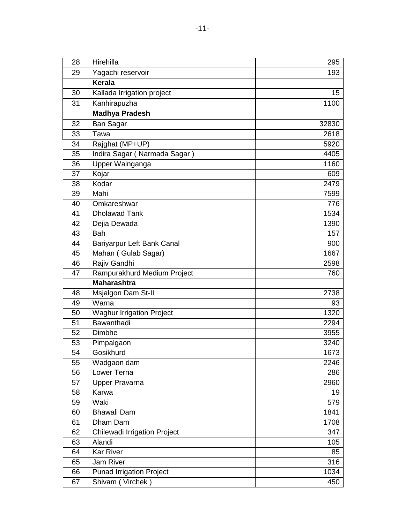| 28 | Hirehilla                        | 295   |
|----|----------------------------------|-------|
| 29 | Yagachi reservoir                | 193   |
|    | Kerala                           |       |
| 30 | Kallada Irrigation project       | 15    |
| 31 | Kanhirapuzha                     | 1100  |
|    | <b>Madhya Pradesh</b>            |       |
| 32 | Ban Sagar                        | 32830 |
| 33 | Tawa                             | 2618  |
| 34 | Rajghat (MP+UP)                  | 5920  |
| 35 | Indira Sagar (Narmada Sagar)     | 4405  |
| 36 | Upper Wainganga                  | 1160  |
| 37 | Kojar                            | 609   |
| 38 | Kodar                            | 2479  |
| 39 | Mahi                             | 7599  |
| 40 | Omkareshwar                      | 776   |
| 41 | <b>Dholawad Tank</b>             | 1534  |
| 42 | Dejia Dewada                     | 1390  |
| 43 | <b>Bah</b>                       | 157   |
| 44 | Bariyarpur Left Bank Canal       | 900   |
| 45 | Mahan (Gulab Sagar)              | 1667  |
| 46 | Rajiv Gandhi                     | 2598  |
| 47 | Rampurakhurd Medium Project      | 760   |
|    | <b>Maharashtra</b>               |       |
| 48 | Msjalgon Dam St-II               | 2738  |
| 49 | Warna                            | 93    |
| 50 | <b>Waghur Irrigation Project</b> | 1320  |
| 51 | <b>Bawanthadi</b>                | 2294  |
| 52 | Dimbhe                           | 3955  |
| 53 | Pimpalgaon                       | 3240  |
| 54 | Gosikhurd                        | 1673  |
| 55 | Wadgaon dam                      | 2246  |
| 56 | <b>Lower Terna</b>               | 286   |
| 57 | <b>Upper Pravarna</b>            | 2960  |
| 58 | Karwa                            | 19    |
| 59 | Waki                             | 579   |
| 60 | Bhawali Dam                      | 1841  |
| 61 | Dham Dam                         | 1708  |
| 62 | Chilewadi Irrigation Project     | 347   |
| 63 | Alandi                           | 105   |
| 64 | <b>Kar River</b>                 | 85    |
| 65 | Jam River                        | 316   |
| 66 | <b>Punad Irrigation Project</b>  | 1034  |
| 67 | Shivam (Virchek)                 | 450   |